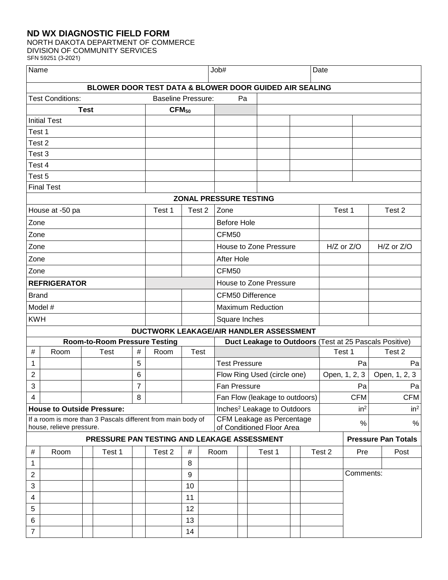## **ND WX DIAGNOSTIC FIELD FORM**

# NORTH DAKOTA DEPARTMENT OF COMMERCE

DIVISION OF COMMUNITY SERVICES SFN 59251 (3-2021)

| Name                                                                                     |                         |  |                                                        |                | Job#                                    |                                                        |                                                        |                                         | Date                       |  |        |                 |        |               |                 |            |      |
|------------------------------------------------------------------------------------------|-------------------------|--|--------------------------------------------------------|----------------|-----------------------------------------|--------------------------------------------------------|--------------------------------------------------------|-----------------------------------------|----------------------------|--|--------|-----------------|--------|---------------|-----------------|------------|------|
|                                                                                          |                         |  | BLOWER DOOR TEST DATA & BLOWER DOOR GUIDED AIR SEALING |                |                                         |                                                        |                                                        |                                         |                            |  |        |                 |        |               |                 |            |      |
|                                                                                          | <b>Test Conditions:</b> |  |                                                        |                |                                         | <b>Baseline Pressure:</b><br>Pa                        |                                                        |                                         |                            |  |        |                 |        |               |                 |            |      |
| <b>Test</b>                                                                              |                         |  |                                                        | $CFM_{50}$     |                                         |                                                        |                                                        |                                         |                            |  |        |                 |        |               |                 |            |      |
| <b>Initial Test</b>                                                                      |                         |  |                                                        |                |                                         |                                                        |                                                        |                                         |                            |  |        |                 |        |               |                 |            |      |
| Test 1                                                                                   |                         |  |                                                        |                |                                         |                                                        |                                                        |                                         |                            |  |        |                 |        |               |                 |            |      |
| Test <sub>2</sub>                                                                        |                         |  |                                                        |                |                                         |                                                        |                                                        |                                         |                            |  |        |                 |        |               |                 |            |      |
| Test 3                                                                                   |                         |  |                                                        |                |                                         |                                                        |                                                        |                                         |                            |  |        |                 |        |               |                 |            |      |
| Test 4                                                                                   |                         |  |                                                        |                |                                         |                                                        |                                                        |                                         |                            |  |        |                 |        |               |                 |            |      |
| Test 5                                                                                   |                         |  |                                                        |                |                                         |                                                        |                                                        |                                         |                            |  |        |                 |        |               |                 |            |      |
|                                                                                          | <b>Final Test</b>       |  |                                                        |                |                                         |                                                        |                                                        |                                         |                            |  |        |                 |        |               |                 |            |      |
|                                                                                          |                         |  |                                                        |                |                                         |                                                        |                                                        | ZONAL PRESSURE TESTING                  |                            |  |        |                 |        |               |                 |            |      |
|                                                                                          | House at -50 pa         |  |                                                        |                | Test 1                                  |                                                        | Test 2                                                 | Zone                                    |                            |  |        |                 | Test 1 |               | Test 2          |            |      |
| Zone                                                                                     |                         |  |                                                        |                |                                         |                                                        |                                                        | <b>Before Hole</b>                      |                            |  |        |                 |        |               |                 |            |      |
| Zone                                                                                     |                         |  |                                                        |                |                                         |                                                        |                                                        | CFM50                                   |                            |  |        |                 |        |               |                 |            |      |
| Zone                                                                                     |                         |  |                                                        |                |                                         |                                                        |                                                        | House to Zone Pressure                  |                            |  |        | H/Z or Z/O      |        | H/Z or Z/O    |                 |            |      |
| Zone                                                                                     |                         |  |                                                        |                |                                         |                                                        |                                                        | <b>After Hole</b>                       |                            |  |        |                 |        |               |                 |            |      |
| Zone                                                                                     |                         |  |                                                        |                |                                         |                                                        |                                                        | CFM50                                   |                            |  |        |                 |        |               |                 |            |      |
| <b>REFRIGERATOR</b>                                                                      |                         |  |                                                        |                |                                         |                                                        | House to Zone Pressure                                 |                                         |                            |  |        |                 |        |               |                 |            |      |
| <b>Brand</b>                                                                             |                         |  |                                                        |                |                                         |                                                        |                                                        | CFM50 Difference                        |                            |  |        |                 |        |               |                 |            |      |
| Model #                                                                                  |                         |  |                                                        |                |                                         |                                                        |                                                        | <b>Maximum Reduction</b>                |                            |  |        |                 |        |               |                 |            |      |
| <b>KWH</b>                                                                               |                         |  |                                                        |                |                                         |                                                        |                                                        | Square Inches                           |                            |  |        |                 |        |               |                 |            |      |
|                                                                                          |                         |  |                                                        |                | DUCTWORK LEAKAGE/AIR HANDLER ASSESSMENT |                                                        |                                                        |                                         |                            |  |        |                 |        |               |                 |            |      |
| <b>Room-to-Room Pressure Testing</b>                                                     |                         |  |                                                        |                |                                         |                                                        | Duct Leakage to Outdoors (Test at 25 Pascals Positive) |                                         |                            |  |        |                 |        |               |                 |            |      |
| $\#$                                                                                     | Room                    |  | Test                                                   | #              | Room                                    |                                                        | <b>Test</b>                                            |                                         |                            |  |        | Test 1          |        | Test 2        |                 |            |      |
| 1                                                                                        |                         |  |                                                        | 5              |                                         |                                                        |                                                        | <b>Test Pressure</b>                    |                            |  |        | Pa              |        | Pa            |                 |            |      |
| $\overline{2}$                                                                           |                         |  |                                                        | 6              |                                         |                                                        |                                                        | Flow Ring Used (circle one)             |                            |  |        | Open, 1, 2, 3   |        | Open, 1, 2, 3 |                 |            |      |
| 3                                                                                        |                         |  |                                                        | $\overline{7}$ |                                         |                                                        |                                                        | Fan Pressure                            |                            |  |        | Pa              |        | Pa            |                 |            |      |
| 4                                                                                        |                         |  |                                                        | 8              |                                         |                                                        |                                                        | Fan Flow (leakage to outdoors)          |                            |  |        |                 |        | <b>CFM</b>    |                 | <b>CFM</b> |      |
| <b>House to Outside Pressure:</b>                                                        |                         |  |                                                        |                |                                         |                                                        |                                                        | Inches <sup>2</sup> Leakage to Outdoors |                            |  |        | in <sup>2</sup> |        |               | in <sup>2</sup> |            |      |
| If a room is more than 3 Pascals different from main body of<br>house, relieve pressure. |                         |  |                                                        |                |                                         | CFM Leakage as Percentage<br>of Conditioned Floor Area |                                                        |                                         |                            |  | $\%$   |                 | %      |               |                 |            |      |
|                                                                                          |                         |  |                                                        |                |                                         | PRESSURE PAN TESTING AND LEAKAGE ASSESSMENT            |                                                        |                                         | <b>Pressure Pan Totals</b> |  |        |                 |        |               |                 |            |      |
| $\#$                                                                                     | Room                    |  | Test 1                                                 |                | Test 2                                  | #                                                      |                                                        | Room                                    |                            |  | Test 1 |                 |        | Test 2        | Pre             |            | Post |
| 1                                                                                        |                         |  |                                                        |                |                                         | 8                                                      |                                                        |                                         |                            |  |        |                 |        |               |                 |            |      |
| $\overline{2}$                                                                           |                         |  |                                                        |                |                                         | 9                                                      |                                                        |                                         |                            |  |        |                 |        |               | Comments:       |            |      |
| 3                                                                                        |                         |  |                                                        |                |                                         | 10                                                     |                                                        |                                         |                            |  |        |                 |        |               |                 |            |      |
| $\overline{4}$                                                                           |                         |  |                                                        |                |                                         | 11                                                     |                                                        |                                         |                            |  |        |                 |        |               |                 |            |      |
| $\mathbf 5$                                                                              |                         |  |                                                        |                |                                         | 12                                                     |                                                        |                                         |                            |  |        |                 |        |               |                 |            |      |
| 6                                                                                        |                         |  |                                                        |                |                                         | 13                                                     |                                                        |                                         |                            |  |        |                 |        |               |                 |            |      |
| $\overline{7}$                                                                           |                         |  |                                                        |                |                                         | 14                                                     |                                                        |                                         |                            |  |        |                 |        |               |                 |            |      |